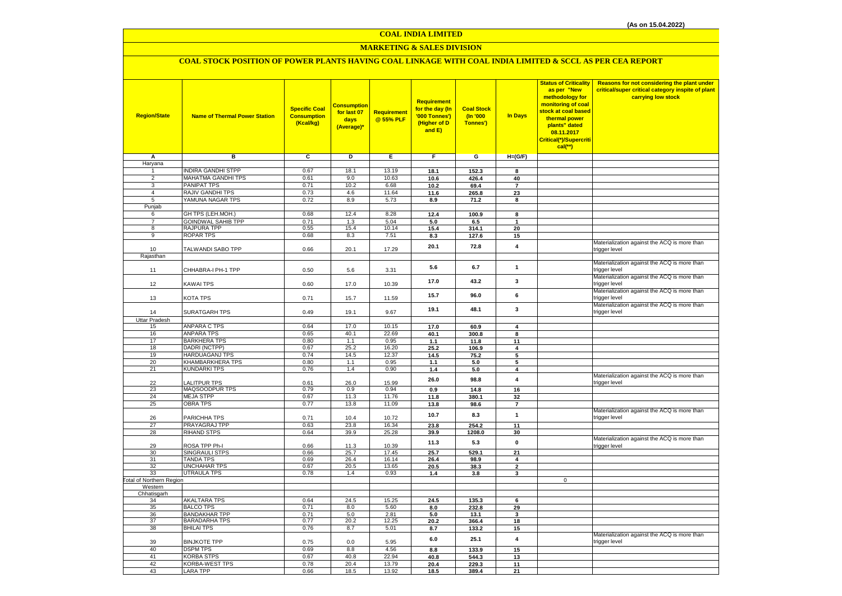# **MARKETING & SALES DIVISION**

# **COAL STOCK POSITION OF POWER PLANTS HAVING COAL LINKAGE WITH COAL INDIA LIMITED & SCCL AS PER CEA REPORT**

| <b>Region/State</b>              | <b>Name of Thermal Power Station</b>     | <b>Specific Coal</b><br><b>Consumption</b><br>(Kcal/kg) | Consumption<br>for last 07<br>days<br>(Average)* | Requirement<br>@ 55% PLF | Requirement<br>for the day (In<br>'000 Tonnes')<br>(Higher of D<br>and E) | <b>Coal Stock</b><br>(In '000<br>Tonnes') | <b>In Days</b>       | <b>Status of Criticality</b><br>as per "New<br>methodology for<br>monitoring of coal<br>stock at coal based<br>thermal power<br>plants" dated<br>08.11.2017<br>Critical(*)/Supercriti<br>$cal$ (**) | Reasons for not considering the plant under<br>critical/super critical category inspite of plant<br>carrying low stock |
|----------------------------------|------------------------------------------|---------------------------------------------------------|--------------------------------------------------|--------------------------|---------------------------------------------------------------------------|-------------------------------------------|----------------------|-----------------------------------------------------------------------------------------------------------------------------------------------------------------------------------------------------|------------------------------------------------------------------------------------------------------------------------|
| Α                                | в                                        | c                                                       | D                                                | Е                        | F.                                                                        | G                                         | $H=(G/F)$            |                                                                                                                                                                                                     |                                                                                                                        |
| Haryana                          |                                          |                                                         |                                                  |                          |                                                                           |                                           |                      |                                                                                                                                                                                                     |                                                                                                                        |
| 1                                | <b>INDIRA GANDHI STPP</b>                | 0.67                                                    | 18.1                                             | 13.19                    | 18.1                                                                      | 152.3                                     | 8                    |                                                                                                                                                                                                     |                                                                                                                        |
| $\overline{2}$                   | MAHATMA GANDHI TPS<br>PANIPAT TPS        | 0.61                                                    | 9.0                                              | 10.63                    | 10.6                                                                      | 426.4                                     | 40                   |                                                                                                                                                                                                     |                                                                                                                        |
| $\overline{3}$<br>$\overline{4}$ | RAJIV GANDHI TPS                         | 0.71<br>0.73                                            | 10.2<br>4.6                                      | 6.68<br>11.64            | 10.2<br>11.6                                                              | 69.4<br>265.8                             | $\overline{7}$<br>23 |                                                                                                                                                                                                     |                                                                                                                        |
| 5                                | YAMUNA NAGAR TPS                         | 0.72                                                    | 8.9                                              | 5.73                     | 8.9                                                                       | 71.2                                      | 8                    |                                                                                                                                                                                                     |                                                                                                                        |
| Punjab                           |                                          |                                                         |                                                  |                          |                                                                           |                                           |                      |                                                                                                                                                                                                     |                                                                                                                        |
| 6                                | GH TPS (LEH.MOH.)                        | 0.68                                                    | 12.4                                             | 8.28                     | 12.4                                                                      | 100.9                                     | 8                    |                                                                                                                                                                                                     |                                                                                                                        |
| $\overline{7}$                   | <b>GOINDWAL SAHIB TPP</b>                | 0.71                                                    | 1.3                                              | 5.04                     | 5.0                                                                       | 6.5                                       |                      |                                                                                                                                                                                                     |                                                                                                                        |
| 8                                | RAJPURA TPP                              | 0.55                                                    | 15.4                                             | 10.14                    | 15.4                                                                      | 314.1                                     | 20                   |                                                                                                                                                                                                     |                                                                                                                        |
| $\overline{9}$                   | <b>ROPAR TPS</b>                         | 0.68                                                    | 8.3                                              | 7.51                     | 8.3                                                                       | 127.6                                     | 15                   |                                                                                                                                                                                                     |                                                                                                                        |
| 10                               | TALWANDI SABO TPP                        | 0.66                                                    | 20.1                                             | 17.29                    | 20.1                                                                      | 72.8                                      | 4                    |                                                                                                                                                                                                     | Materialization against the ACQ is more than<br>trigger level                                                          |
| Rajasthan                        |                                          |                                                         |                                                  |                          |                                                                           |                                           |                      |                                                                                                                                                                                                     |                                                                                                                        |
| 11                               | CHHABRA-I PH-1 TPP                       | 0.50                                                    | 5.6                                              | 3.31                     | 5.6                                                                       | 6.7                                       | $\mathbf{1}$         |                                                                                                                                                                                                     | Materialization against the ACQ is more than<br>trigger level                                                          |
| 12                               | KAWAI TPS                                | 0.60                                                    | 17.0                                             | 10.39                    | 17.0                                                                      | 43.2                                      | 3                    |                                                                                                                                                                                                     | Materialization against the ACQ is more than<br>trigger level                                                          |
| 13                               | KOTA TPS                                 | 0.71                                                    | 15.7                                             | 11.59                    | 15.7                                                                      | 96.0                                      | 6                    |                                                                                                                                                                                                     | Materialization against the ACQ is more than<br>trigger level                                                          |
| 14                               | <b>SURATGARH TPS</b>                     | 0.49                                                    | 19.1                                             | 9.67                     | 19.1                                                                      | 48.1                                      | 3                    |                                                                                                                                                                                                     | Materialization against the ACQ is more than<br>trigger level                                                          |
| <b>Uttar Pradesh</b>             |                                          |                                                         |                                                  |                          |                                                                           |                                           |                      |                                                                                                                                                                                                     |                                                                                                                        |
| 15<br>16                         | <b>ANPARA C TPS</b><br><b>ANPARA TPS</b> | 0.64<br>0.65                                            | 17.0<br>40.1                                     | 10.15<br>22.69           | 17.0<br>40.1                                                              | 60.9<br>300.8                             | 4<br>8               |                                                                                                                                                                                                     |                                                                                                                        |
| 17                               | <b>BARKHERA TPS</b>                      | 0.80                                                    | 1.1                                              | 0.95                     | 1.1                                                                       | 11.8                                      | 11                   |                                                                                                                                                                                                     |                                                                                                                        |
| 18                               | DADRI (NCTPP)                            | 0.67                                                    | 25.2                                             | 16.20                    | 25.2                                                                      | 106.9                                     | 4                    |                                                                                                                                                                                                     |                                                                                                                        |
| 19                               | HARDUAGANJ TPS                           | 0.74                                                    | 14.5                                             | 12.37                    | 14.5                                                                      | 75.2                                      | 5                    |                                                                                                                                                                                                     |                                                                                                                        |
| 20                               | KHAMBARKHERA TPS                         | 0.80                                                    | 1.1                                              | 0.95                     | 1.1                                                                       | 5.0                                       | 5                    |                                                                                                                                                                                                     |                                                                                                                        |
| 21                               | <b>KUNDARKI TPS</b>                      | 0.76                                                    | 1.4                                              | 0.90                     | 1.4                                                                       | 5.0                                       | 4                    |                                                                                                                                                                                                     |                                                                                                                        |
| 22                               | <b>ALITPUR TPS</b>                       | 0.61                                                    | 26.0                                             | 15.99                    | 26.0                                                                      | 98.8                                      | 4                    |                                                                                                                                                                                                     | Materialization against the ACQ is more than<br>trigger level                                                          |
| 23                               | MAQSOODPUR TPS                           | 0.79                                                    | 0.9                                              | 0.94                     | 0.9                                                                       | 14.8                                      | 16                   |                                                                                                                                                                                                     |                                                                                                                        |
| 24                               | <b>MEJA STPP</b>                         | 0.67                                                    | 11.3                                             | 11.76                    | 11.8                                                                      | 380.1                                     | 32                   |                                                                                                                                                                                                     |                                                                                                                        |
| 25                               | <b>OBRA TPS</b>                          | 0.77                                                    | 13.8                                             | 11.09                    | 13.8                                                                      | 98.6                                      | $\overline{7}$       |                                                                                                                                                                                                     | Materialization against the ACQ is more than                                                                           |
| 26                               | PARICHHA TPS                             | 0.71                                                    | 10.4                                             | 10.72                    | 10.7                                                                      | 8.3                                       | $\mathbf{1}$         |                                                                                                                                                                                                     | trigger level                                                                                                          |
| 27<br>28                         | PRAYAGRAJ TPP<br><b>RIHAND STPS</b>      | 0.63<br>0.64                                            | 23.8<br>39.9                                     | 16.34<br>25.28           | 23.8<br>39.9                                                              | 254.2                                     | 11<br>30             |                                                                                                                                                                                                     |                                                                                                                        |
| 29                               | ROSA TPP Ph-I                            | 0.66                                                    | 11.3                                             | 10.39                    | 11.3                                                                      | 1208.0<br>5.3                             | $\mathbf 0$          |                                                                                                                                                                                                     | Materialization against the ACQ is more than<br>trigger level                                                          |
| 30                               | SINGRAULI STPS                           | 0.66                                                    | 25.7                                             | 17.45                    | 25.7                                                                      | 529.1                                     | 21                   |                                                                                                                                                                                                     |                                                                                                                        |
| 31                               | <b>TANDA TPS</b>                         | 0.69                                                    | 26.4                                             | 16.14                    | 26.4                                                                      | 98.9                                      | 4                    |                                                                                                                                                                                                     |                                                                                                                        |
| 32                               | UNCHAHAR TPS                             | 0.67                                                    | 20.5                                             | 13.65                    | 20.5                                                                      | 38.3                                      | $\mathbf{2}$         |                                                                                                                                                                                                     |                                                                                                                        |
| 33                               | <b>UTRAULA TPS</b>                       | 0.78                                                    | 1.4                                              | 0.93                     | 1.4                                                                       | 3.8                                       | 3                    |                                                                                                                                                                                                     |                                                                                                                        |
| Total of Northern Region         |                                          |                                                         |                                                  |                          |                                                                           |                                           |                      | $\mathbf 0$                                                                                                                                                                                         |                                                                                                                        |
| Western<br>Chhatisgarh           |                                          |                                                         |                                                  |                          |                                                                           |                                           |                      |                                                                                                                                                                                                     |                                                                                                                        |
| 34                               | <b>AKALTARA TPS</b>                      | 0.64                                                    | 24.5                                             | 15.25                    | 24.5                                                                      | 135.3                                     | 6                    |                                                                                                                                                                                                     |                                                                                                                        |
| 35                               | <b>BALCO TPS</b>                         | 0.71                                                    | 8.0                                              | 5.60                     | 8.0                                                                       | 232.8                                     | 29                   |                                                                                                                                                                                                     |                                                                                                                        |
| 36                               | <b>BANDAKHAR TPP</b>                     | 0.71                                                    | 5.0                                              | 2.81                     | 5.0                                                                       | 13.1                                      | 3                    |                                                                                                                                                                                                     |                                                                                                                        |
| 37                               | <b>BARADARHA TPS</b>                     | 0.77                                                    | 20.2                                             | 12.25                    | 20.2                                                                      | 366.4                                     | 18                   |                                                                                                                                                                                                     |                                                                                                                        |
| 38                               | <b>BHILAI TPS</b>                        | 0.76                                                    | 8.7                                              | 5.01                     | 8.7                                                                       | 133.2                                     | 15                   |                                                                                                                                                                                                     |                                                                                                                        |
| 39                               | <b>BINJKOTE TPP</b>                      | 0.75                                                    | 0.0                                              | 5.95                     | 6.0                                                                       | 25.1                                      | 4                    |                                                                                                                                                                                                     | Materialization against the ACQ is more than<br>trigger level                                                          |
| 40                               | <b>DSPM TPS</b>                          | 0.69                                                    | 8.8                                              | 4.56                     | 8.8                                                                       | 133.9                                     | 15                   |                                                                                                                                                                                                     |                                                                                                                        |
| 41                               | <b>KORBA STPS</b>                        | 0.67                                                    | 40.8                                             | 22.94                    | 40.8                                                                      | 544.3                                     | 13                   |                                                                                                                                                                                                     |                                                                                                                        |
| 42<br>43                         | KORBA-WEST TPS<br><b>LARA TPP</b>        | 0.78<br>0.66                                            | 20.4<br>18.5                                     | 13.79<br>13.92           | 20.4<br>18.5                                                              | 229.3<br>389.4                            | 11<br>21             |                                                                                                                                                                                                     |                                                                                                                        |
|                                  |                                          |                                                         |                                                  |                          |                                                                           |                                           |                      |                                                                                                                                                                                                     |                                                                                                                        |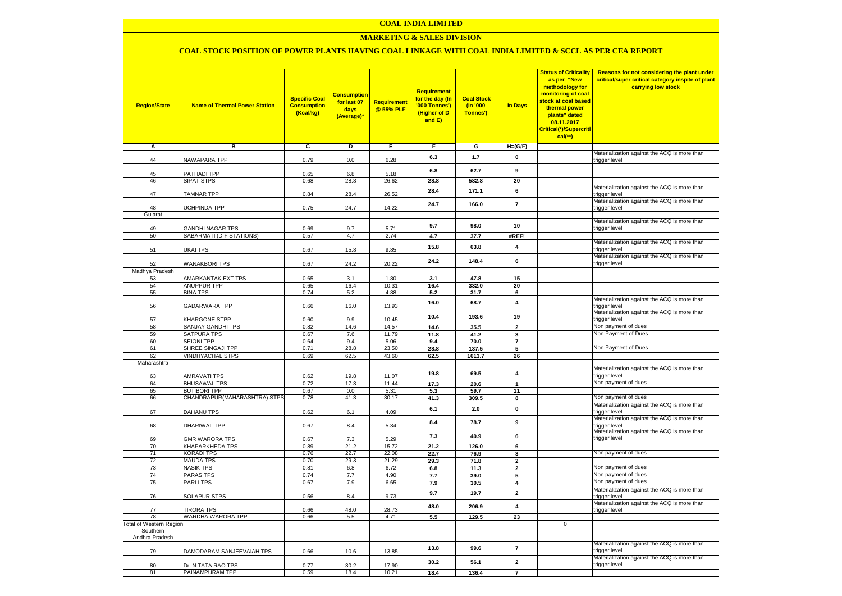## **MARKETING & SALES DIVISION**

## **COAL STOCK POSITION OF POWER PLANTS HAVING COAL LINKAGE WITH COAL INDIA LIMITED & SCCL AS PER CEA REPORT**

| <b>Region/State</b>        | <b>Name of Thermal Power Station</b>         | <b>Specific Coal</b><br><b>Consumption</b><br>(Kcal/kg) | <mark>Consumption</mark><br>for last 07<br>days<br>(Average)* | <b>Requirement</b><br>@ 55% PLF | <b>Requirement</b><br>for the day (In<br>'000 Tonnes')<br>(Higher of D<br>and E) | <b>Coal Stock</b><br>$($ ln '000<br>Tonnes') | In Days                       | <b>Status of Criticality</b><br>as per "New<br>methodology for<br>monitoring of coal<br>stock at coal based<br>thermal power<br>plants" dated<br>08.11.2017<br>Critical(*)/Supercriti<br>$cal$ (**) | Reasons for not considering the plant under<br>critical/super critical category inspite of plant<br>carrying low stock |
|----------------------------|----------------------------------------------|---------------------------------------------------------|---------------------------------------------------------------|---------------------------------|----------------------------------------------------------------------------------|----------------------------------------------|-------------------------------|-----------------------------------------------------------------------------------------------------------------------------------------------------------------------------------------------------|------------------------------------------------------------------------------------------------------------------------|
| Α                          | в                                            | С                                                       | D                                                             | Е                               | F.                                                                               | G                                            | $H=(G/F)$                     |                                                                                                                                                                                                     |                                                                                                                        |
| 44                         | <b>VAWAPARA TPP</b>                          | 0.79                                                    | 0.0                                                           | 6.28                            | 6.3                                                                              | 1.7                                          | 0                             |                                                                                                                                                                                                     | Materialization against the ACQ is more than<br>trigger level                                                          |
| 45                         | <b>PATHADI TPP</b>                           | 0.65                                                    | 6.8                                                           | 5.18                            | 6.8                                                                              | 62.7                                         | 9                             |                                                                                                                                                                                                     |                                                                                                                        |
| 46                         | SIPAT STPS                                   | 0.68                                                    | 28.8                                                          | 26.62                           | 28.8                                                                             | 582.8                                        | 20                            |                                                                                                                                                                                                     |                                                                                                                        |
| 47                         | <b>TAMNAR TPP</b>                            | 0.84                                                    | 28.4                                                          | 26.52                           | 28.4                                                                             | 171.1                                        | 6                             |                                                                                                                                                                                                     | Materialization against the ACQ is more than<br>trigger level                                                          |
|                            |                                              |                                                         |                                                               |                                 | 24.7                                                                             | 166.0                                        | $\overline{7}$                |                                                                                                                                                                                                     | Materialization against the ACQ is more than                                                                           |
| 48<br>Gujarat              | <b>JCHPINDA TPP</b>                          | 0.75                                                    | 24.7                                                          | 14.22                           |                                                                                  |                                              |                               |                                                                                                                                                                                                     | trigger level                                                                                                          |
|                            |                                              |                                                         |                                                               |                                 | 9.7                                                                              | 98.0                                         | 10                            |                                                                                                                                                                                                     | Materialization against the ACQ is more than                                                                           |
| 49                         | <b>GANDHI NAGAR TPS</b>                      | 0.69                                                    | 9.7                                                           | 5.71                            |                                                                                  |                                              |                               |                                                                                                                                                                                                     | trigger level                                                                                                          |
| 50                         | SABARMATI (D-F STATIONS)                     | 0.57                                                    | 4.7                                                           | 2.74                            | 4.7                                                                              | 37.7                                         | #REF!                         |                                                                                                                                                                                                     | Materialization against the ACQ is more than                                                                           |
| 51                         | <b>JKAI TPS</b>                              | 0.67                                                    | 15.8                                                          | 9.85                            | 15.8                                                                             | 63.8                                         | 4                             |                                                                                                                                                                                                     | trigger level<br>Materialization against the ACQ is more than                                                          |
| 52<br>Madhya Pradesh       | <b>WANAKBORI TPS</b>                         | 0.67                                                    | 24.2                                                          | 20.22                           | 24.2                                                                             | 148.4                                        | 6                             |                                                                                                                                                                                                     | trigger level                                                                                                          |
| 53                         | AMARKANTAK EXT TPS                           | 0.65                                                    | 3.1                                                           | 1.80                            | 3.1                                                                              | 47.8                                         | 15                            |                                                                                                                                                                                                     |                                                                                                                        |
| 54                         | <b>ANUPPUR TPP</b>                           | 0.65                                                    | 16.4                                                          | 10.31                           | 16.4                                                                             | 332.0                                        | 20                            |                                                                                                                                                                                                     |                                                                                                                        |
| 55                         | <b>BINA TPS</b>                              | 0.74                                                    | 5.2                                                           | 4.88                            | 5.2                                                                              | 31.7                                         | 6                             |                                                                                                                                                                                                     |                                                                                                                        |
| 56                         | GADARWARA TPP                                | 0.66                                                    | 16.0                                                          | 13.93                           | 16.0                                                                             | 68.7                                         | $\overline{\mathbf{4}}$       |                                                                                                                                                                                                     | Materialization against the ACQ is more than<br>trigger level                                                          |
| 57                         | KHARGONE STPP                                | 0.60                                                    | 9.9                                                           | 10.45                           | 10.4                                                                             | 193.6                                        | 19                            |                                                                                                                                                                                                     | Materialization against the ACQ is more than<br>trigger level                                                          |
| 58                         | SANJAY GANDHI TPS                            | 0.82                                                    | 14.6                                                          | 14.57                           | 14.6                                                                             | 35.5                                         | $\overline{2}$                |                                                                                                                                                                                                     | Non payment of dues                                                                                                    |
| 59                         | SATPURA TPS                                  | 0.67                                                    | 7.6                                                           | 11.79                           | 11.8                                                                             | 41.2                                         | 3                             |                                                                                                                                                                                                     | Non Payment of Dues                                                                                                    |
| 60                         | <b>SEIONI TPP</b>                            | 0.64                                                    | 9.4                                                           | 5.06                            | 9.4                                                                              | 70.0                                         | $\overline{7}$                |                                                                                                                                                                                                     | Non Payment of Dues                                                                                                    |
| 61<br>62                   | SHREE SINGAJI TPP<br><b>VINDHYACHAL STPS</b> | 0.71<br>0.69                                            | 28.8<br>62.5                                                  | 23.50<br>43.60                  | 28.8<br>62.5                                                                     | 137.5<br>1613.7                              | 5<br>26                       |                                                                                                                                                                                                     |                                                                                                                        |
| Maharashtra                |                                              |                                                         |                                                               |                                 |                                                                                  |                                              |                               |                                                                                                                                                                                                     |                                                                                                                        |
|                            |                                              |                                                         |                                                               |                                 | 19.8                                                                             | 69.5                                         | 4                             |                                                                                                                                                                                                     | Materialization against the ACQ is more than                                                                           |
| 63                         | <b>AMRAVATI TPS</b>                          | 0.62                                                    | 19.8                                                          | 11.07                           |                                                                                  |                                              |                               |                                                                                                                                                                                                     | trigger level                                                                                                          |
| 64<br>65                   | <b>BHUSAWAL TPS</b><br><b>BUTIBORI TPP</b>   | 0.72<br>0.67                                            | 17.3<br>0.0                                                   | 11.44<br>5.31                   | 17.3                                                                             | 20.6                                         | $\mathbf{1}$                  |                                                                                                                                                                                                     | Non payment of dues                                                                                                    |
| 66                         | CHANDRAPUR(MAHARASHTRA) STPS                 | 0.78                                                    | 41.3                                                          | 30.17                           | 5.3<br>41.3                                                                      | 59.7<br>309.5                                | 11<br>$\overline{\mathbf{8}}$ |                                                                                                                                                                                                     | Non payment of dues                                                                                                    |
|                            |                                              |                                                         |                                                               |                                 |                                                                                  |                                              | $\pmb{0}$                     |                                                                                                                                                                                                     | Materialization against the ACQ is more than                                                                           |
| 67                         | DAHANU TPS                                   | 0.62                                                    | 6.1                                                           | 4.09                            | 6.1                                                                              | 2.0                                          |                               |                                                                                                                                                                                                     | trigger level<br>Materialization against the ACQ is more than                                                          |
| 68                         | DHARIWAL TPP                                 | 0.67                                                    | 8.4                                                           | 5.34                            | 8.4                                                                              | 78.7                                         | 9                             |                                                                                                                                                                                                     | trigger level<br>Materialization against the ACQ is more than                                                          |
| 69                         | <b>GMR WARORA TPS</b>                        | 0.67                                                    | 7.3                                                           | 5.29                            | 7.3                                                                              | 40.9                                         | 6                             |                                                                                                                                                                                                     | trigger level                                                                                                          |
| 70                         | <b>KHAPARKHEDA TPS</b>                       | 0.89                                                    | 21.2<br>22.7                                                  | 15.72                           | 21.2                                                                             | 126.0                                        | 6                             |                                                                                                                                                                                                     | Non payment of dues                                                                                                    |
| 71<br>72                   | <b>KORADI TPS</b><br><b>MAUDA TPS</b>        | 0.76<br>0.70                                            | 29.3                                                          | 22.08<br>21.29                  | 22.7<br>29.3                                                                     | 76.9<br>71.8                                 | 3<br>$\overline{2}$           |                                                                                                                                                                                                     |                                                                                                                        |
| 73                         | <b>NASIK TPS</b>                             | 0.81                                                    | 6.8                                                           | 6.72                            | $\bf6.8$                                                                         | 11.3                                         | $\mathbf{2}$                  |                                                                                                                                                                                                     | Non payment of dues                                                                                                    |
| 74                         | <b>PARAS TPS</b>                             | 0.74                                                    | 7.7                                                           | 4.90                            | 7.7                                                                              | 39.0                                         | 5                             |                                                                                                                                                                                                     | Non payment of dues                                                                                                    |
| 75                         | <b>PARLITPS</b>                              | 0.67                                                    | 7.9                                                           | 6.65                            | 7.9                                                                              | 30.5                                         | 4                             |                                                                                                                                                                                                     | Non payment of dues                                                                                                    |
| 76                         | <b>SOLAPUR STPS</b>                          | 0.56                                                    | 8.4                                                           | 9.73                            | 9.7                                                                              | 19.7                                         | $\mathbf{2}$                  |                                                                                                                                                                                                     | Materialization against the ACQ is more than<br>trigger level                                                          |
| 77                         | <b>TIRORA TPS</b>                            | 0.66                                                    | 48.0                                                          | 28.73                           | 48.0                                                                             | 206.9                                        | $\overline{\mathbf{4}}$       |                                                                                                                                                                                                     | Materialization against the ACQ is more than<br>trigger level                                                          |
| 78                         | WARDHA WARORA TPP                            | 0.66                                                    | 5.5                                                           | 4.71                            | 5.5                                                                              | 129.5                                        | 23                            |                                                                                                                                                                                                     |                                                                                                                        |
| otal of Western Region     |                                              |                                                         |                                                               |                                 |                                                                                  |                                              |                               | $\mathbf 0$                                                                                                                                                                                         |                                                                                                                        |
| Southern<br>Andhra Pradesh |                                              |                                                         |                                                               |                                 |                                                                                  |                                              |                               |                                                                                                                                                                                                     |                                                                                                                        |
| 79                         | DAMODARAM SANJEEVAIAH TPS                    | 0.66                                                    | 10.6                                                          | 13.85                           | 13.8                                                                             | 99.6                                         | $\overline{7}$                |                                                                                                                                                                                                     | Materialization against the ACQ is more than<br>trigger level                                                          |
| 80                         | Dr. N.TATA RAO TPS                           | 0.77                                                    | 30.2                                                          | 17.90                           | 30.2                                                                             | 56.1                                         | $\overline{\mathbf{2}}$       |                                                                                                                                                                                                     | Materialization against the ACQ is more than<br>trigger level                                                          |
| 81                         | PAINAMPURAM TPP                              | 0.59                                                    | 18.4                                                          | 10.21                           | 18.4                                                                             | 136.4                                        | $\overline{7}$                |                                                                                                                                                                                                     |                                                                                                                        |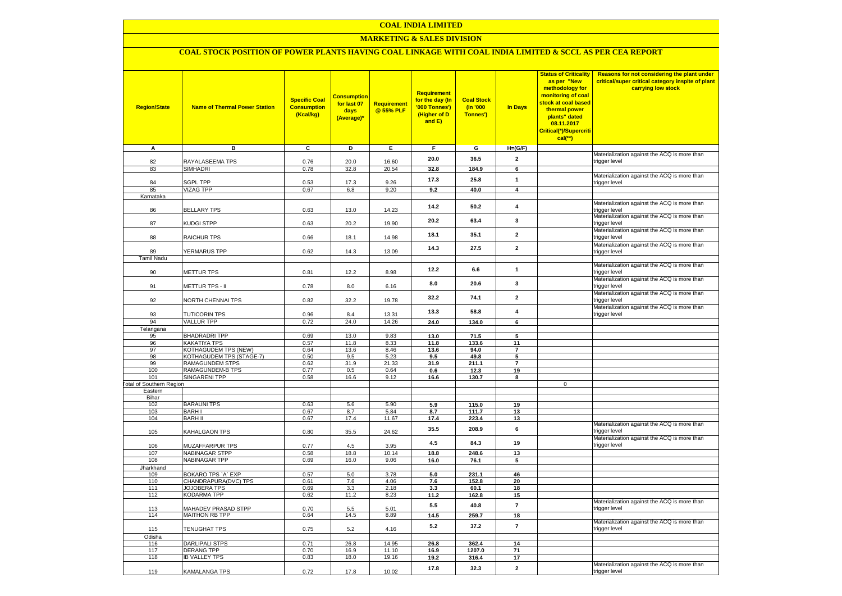## **MARKETING & SALES DIVISION**

# **COAL STOCK POSITION OF POWER PLANTS HAVING COAL LINKAGE WITH COAL INDIA LIMITED & SCCL AS PER CEA REPORT**

| <b>Region/State</b>                        | <b>Name of Thermal Power Station</b>          | <b>Specific Coal</b><br><b>Consumption</b><br>(Kcal/kg) | <b>Consumption</b><br>for last 07<br>days<br>(Average)* | <b>Requirement</b><br>@ 55% PLF | <b>Requirement</b><br>for the day (In<br>'000 Tonnes')<br>(Higher of D<br>and E) | <b>Coal Stock</b><br>$($ ln '000<br>Tonnes') | In Days                 | <b>Status of Criticality</b><br>as per "New<br>methodology for<br>monitoring of coal<br>stock at coal based<br>thermal power<br>plants" dated<br>08.11.2017<br>Critical(*)/Supercriti<br>$cal$ (**) | Reasons for not considering the plant under<br>critical/super critical category inspite of plant<br>carrying low stock |
|--------------------------------------------|-----------------------------------------------|---------------------------------------------------------|---------------------------------------------------------|---------------------------------|----------------------------------------------------------------------------------|----------------------------------------------|-------------------------|-----------------------------------------------------------------------------------------------------------------------------------------------------------------------------------------------------|------------------------------------------------------------------------------------------------------------------------|
| A                                          | в                                             | c                                                       | D                                                       | Е                               | F.                                                                               | G                                            | $H=(G/F)$               |                                                                                                                                                                                                     |                                                                                                                        |
| 82                                         | RAYALASEEMA TPS                               | 0.76                                                    | 20.0                                                    | 16.60                           | 20.0                                                                             | 36.5                                         | $\mathbf{2}$            |                                                                                                                                                                                                     | Materialization against the ACQ is more than                                                                           |
| 83                                         | SIMHADRI                                      | 0.78                                                    | 32.8                                                    | 20.54                           | 32.8                                                                             | 184.9                                        | 6                       |                                                                                                                                                                                                     | trigger level                                                                                                          |
|                                            |                                               |                                                         |                                                         |                                 |                                                                                  |                                              |                         |                                                                                                                                                                                                     | Materialization against the ACQ is more than                                                                           |
| 84                                         | <b>SGPL TPP</b>                               | 0.53                                                    | 17.3                                                    | 9.26                            | 17.3                                                                             | 25.8                                         | $\mathbf{1}$            |                                                                                                                                                                                                     | trigger level                                                                                                          |
| 85<br>Karnataka                            | <b>VIZAG TPP</b>                              | 0.67                                                    | 6.8                                                     | 9.20                            | 9.2                                                                              | 40.0                                         | $\overline{\mathbf{4}}$ |                                                                                                                                                                                                     |                                                                                                                        |
|                                            |                                               |                                                         |                                                         |                                 |                                                                                  |                                              |                         |                                                                                                                                                                                                     | Materialization against the ACQ is more than                                                                           |
| 86                                         | <b>BELLARY TPS</b>                            | 0.63                                                    | 13.0                                                    | 14.23                           | 14.2                                                                             | 50.2                                         | $\overline{\mathbf{4}}$ |                                                                                                                                                                                                     | trigger level                                                                                                          |
| 87                                         | KUDGI STPP                                    | 0.63                                                    | 20.2                                                    | 19.90                           | 20.2                                                                             | 63.4                                         | 3                       |                                                                                                                                                                                                     | Materialization against the ACQ is more than<br>trigger level                                                          |
| 88                                         | <b>RAICHUR TPS</b>                            | 0.66                                                    | 18.1                                                    | 14.98                           | 18.1                                                                             | 35.1                                         | $\overline{2}$          |                                                                                                                                                                                                     | Materialization against the ACQ is more than<br>trigger level                                                          |
|                                            |                                               |                                                         |                                                         |                                 | 14.3                                                                             | 27.5                                         | $\overline{2}$          |                                                                                                                                                                                                     | Materialization against the ACQ is more than                                                                           |
| 89<br><b>Tamil Nadu</b>                    | <b>YERMARUS TPP</b>                           | 0.62                                                    | 14.3                                                    | 13.09                           |                                                                                  |                                              |                         |                                                                                                                                                                                                     | trigger level                                                                                                          |
| 90                                         | <b>METTUR TPS</b>                             | 0.81                                                    | 12.2                                                    | 8.98                            | 12.2                                                                             | 6.6                                          | $\mathbf{1}$            |                                                                                                                                                                                                     | Materialization against the ACQ is more than<br>trigger level                                                          |
| 91                                         | METTUR TPS - II                               | 0.78                                                    | 8.0                                                     | 6.16                            | 8.0                                                                              | 20.6                                         | 3                       |                                                                                                                                                                                                     | Materialization against the ACQ is more than<br>trigger level                                                          |
| 92                                         | <b>VORTH CHENNAI TPS</b>                      | 0.82                                                    | 32.2                                                    | 19.78                           | 32.2                                                                             | 74.1                                         | $\mathbf{2}$            |                                                                                                                                                                                                     | Materialization against the ACQ is more than<br>trigger level                                                          |
| 93                                         | <b>TUTICORIN TPS</b>                          | 0.96                                                    | 8.4                                                     | 13.31                           | 13.3                                                                             | 58.8                                         | $\overline{\mathbf{4}}$ |                                                                                                                                                                                                     | Materialization against the ACQ is more than<br>trigger level                                                          |
| 94                                         | <b>VALLUR TPP</b>                             | 0.72                                                    | 24.0                                                    | 14.26                           | 24.0                                                                             | 134.0                                        | 6                       |                                                                                                                                                                                                     |                                                                                                                        |
| Telangana                                  |                                               |                                                         |                                                         |                                 |                                                                                  |                                              |                         |                                                                                                                                                                                                     |                                                                                                                        |
| 95                                         | <b>BHADRADRI TPP</b>                          | 0.69                                                    | 13.0<br>11.8                                            | 9.83                            | 13.0                                                                             | 71.5                                         | 5                       |                                                                                                                                                                                                     |                                                                                                                        |
| 96<br>97                                   | KAKATIYA TPS<br>KOTHAGUDEM TPS (NEW)          | 0.57<br>0.64                                            | 13.6                                                    | 8.33<br>8.46                    | 11.8<br>13.6                                                                     | 133.6<br>94.0                                | 11<br>$\overline{7}$    |                                                                                                                                                                                                     |                                                                                                                        |
| 98                                         | KOTHAGUDEM TPS (STAGE-7)                      | 0.50                                                    | 9.5                                                     | 5.23                            | 9.5                                                                              | 49.8                                         | 5                       |                                                                                                                                                                                                     |                                                                                                                        |
| 99                                         | <b>RAMAGUNDEM STPS</b>                        | 0.62                                                    | 31.9                                                    | 21.33                           | 31.9                                                                             | 211.1                                        | $\overline{7}$          |                                                                                                                                                                                                     |                                                                                                                        |
| 100                                        | <b>RAMAGUNDEM-B TPS</b>                       | 0.77                                                    | 0.5                                                     | 0.64                            | 0.6                                                                              | 12.3                                         | 19                      |                                                                                                                                                                                                     |                                                                                                                        |
| 101                                        | <b>SINGARENI TPP</b>                          | 0.58                                                    | 16.6                                                    | 9.12                            | 16.6                                                                             | 130.7                                        | 8                       |                                                                                                                                                                                                     |                                                                                                                        |
| <b>Fotal of Southern Region</b><br>Eastern |                                               |                                                         |                                                         |                                 |                                                                                  |                                              |                         | $\mathbf 0$                                                                                                                                                                                         |                                                                                                                        |
| Bihar                                      |                                               |                                                         |                                                         |                                 |                                                                                  |                                              |                         |                                                                                                                                                                                                     |                                                                                                                        |
| 102                                        | <b>BARAUNI TPS</b>                            | 0.63                                                    | 5.6                                                     | 5.90                            | 5.9                                                                              | 115.0                                        | 19                      |                                                                                                                                                                                                     |                                                                                                                        |
| 103                                        | <b>BARHI</b>                                  | 0.67                                                    | 8.7                                                     | 5.84                            | 8.7                                                                              | 111.7                                        | 13                      |                                                                                                                                                                                                     |                                                                                                                        |
| 104                                        | <b>BARH II</b>                                | 0.67                                                    | 17.4                                                    | 11.67                           | 17.4                                                                             | 223.4                                        | 13                      |                                                                                                                                                                                                     | Materialization against the ACQ is more than                                                                           |
| 105                                        | KAHALGAON TPS                                 | 0.80                                                    | 35.5                                                    | 24.62                           | 35.5                                                                             | 208.9                                        | 6                       |                                                                                                                                                                                                     | trigger level<br>Materialization against the ACQ is more than                                                          |
| 106                                        | MUZAFFARPUR TPS                               | 0.77                                                    | 4.5                                                     | 3.95                            | 4.5                                                                              | 84.3                                         | 19                      |                                                                                                                                                                                                     | trigger level                                                                                                          |
| 107<br>108                                 | <b>NABINAGAR STPP</b><br><b>NABINAGAR TPP</b> | 0.58<br>0.69                                            | 18.8<br>16.0                                            | 10.14<br>9.06                   | 18.8<br>16.0                                                                     | 248.6<br>76.1                                | 13<br>5                 |                                                                                                                                                                                                     |                                                                                                                        |
| Jharkhand                                  |                                               |                                                         |                                                         |                                 |                                                                                  |                                              |                         |                                                                                                                                                                                                     |                                                                                                                        |
| 109                                        | BOKARO TPS `A` EXP                            | 0.57                                                    | 5.0                                                     | 3.78                            | 5.0                                                                              | 231.1                                        | 46                      |                                                                                                                                                                                                     |                                                                                                                        |
| 110                                        | CHANDRAPURA(DVC) TPS                          | 0.61                                                    | 7.6                                                     | 4.06                            | 7.6                                                                              | 152.8                                        | 20                      |                                                                                                                                                                                                     |                                                                                                                        |
| 111                                        | <b>JOJOBERA TPS</b>                           | 0.69                                                    | 3.3                                                     | 2.18                            | 3.3                                                                              | 60.1                                         | 18                      |                                                                                                                                                                                                     |                                                                                                                        |
| 112                                        | KODARMA TPP                                   | 0.62                                                    | 11.2                                                    | 8.23                            | 11.2                                                                             | 162.8                                        | 15                      |                                                                                                                                                                                                     | Materialization against the ACQ is more than                                                                           |
| 113                                        | <b>MAHADEV PRASAD STPP</b>                    | 0.70                                                    | 5.5                                                     | 5.01                            | 5.5                                                                              | 40.8                                         | $\overline{7}$          |                                                                                                                                                                                                     | trigger level                                                                                                          |
| 114                                        | <b>MAITHON RB TPP</b>                         | 0.64                                                    | 14.5                                                    | 8.89                            | 14.5                                                                             | 259.7                                        | 18                      |                                                                                                                                                                                                     | Materialization against the ACQ is more than                                                                           |
| 115<br>Odisha                              | TENUGHAT TPS                                  | 0.75                                                    | 5.2                                                     | 4.16                            | 5.2                                                                              | 37.2                                         | $\overline{7}$          |                                                                                                                                                                                                     | trigger level                                                                                                          |
| 116                                        | <b>DARLIPALI STPS</b>                         | 0.71                                                    | 26.8                                                    | 14.95                           | 26.8                                                                             | 362.4                                        | 14                      |                                                                                                                                                                                                     |                                                                                                                        |
| 117                                        | <b>DERANG TPP</b>                             | 0.70                                                    | 16.9                                                    | 11.10                           | 16.9                                                                             | 1207.0                                       | 71                      |                                                                                                                                                                                                     |                                                                                                                        |
| 118                                        | <b>IB VALLEY TPS</b>                          | 0.83                                                    | 18.0                                                    | 19.16                           | 19.2                                                                             | 316.4                                        | 17                      |                                                                                                                                                                                                     |                                                                                                                        |
|                                            |                                               |                                                         |                                                         |                                 | 17.8                                                                             | 32.3                                         | $\overline{\mathbf{2}}$ |                                                                                                                                                                                                     | Materialization against the ACQ is more than                                                                           |
| 119                                        | KAMALANGA TPS                                 | 0.72                                                    | 17.8                                                    | 10.02                           |                                                                                  |                                              |                         |                                                                                                                                                                                                     | trigger level                                                                                                          |